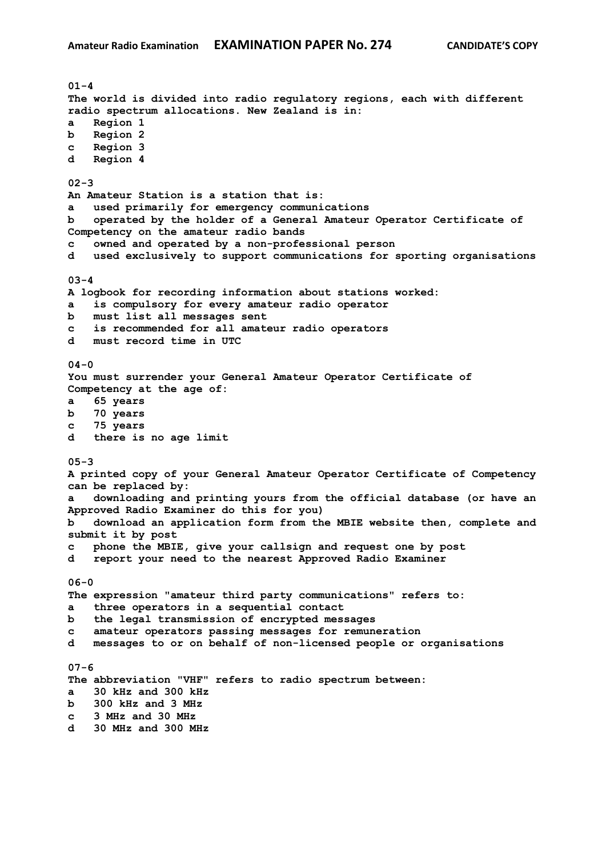**01-4 The world is divided into radio regulatory regions, each with different radio spectrum allocations. New Zealand is in: a Region 1 b Region 2 c Region 3 d Region 4 02-3 An Amateur Station is a station that is: a used primarily for emergency communications b operated by the holder of a General Amateur Operator Certificate of Competency on the amateur radio bands c owned and operated by a non-professional person d used exclusively to support communications for sporting organisations 03-4 A logbook for recording information about stations worked: a is compulsory for every amateur radio operator b must list all messages sent c is recommended for all amateur radio operators d must record time in UTC 04-0 You must surrender your General Amateur Operator Certificate of Competency at the age of: a 65 years b 70 years c 75 years d there is no age limit 05-3 A printed copy of your General Amateur Operator Certificate of Competency can be replaced by: a downloading and printing yours from the official database (or have an Approved Radio Examiner do this for you) b download an application form from the MBIE website then, complete and submit it by post c phone the MBIE, give your callsign and request one by post d report your need to the nearest Approved Radio Examiner 06-0 The expression "amateur third party communications" refers to: a three operators in a sequential contact b the legal transmission of encrypted messages c amateur operators passing messages for remuneration d messages to or on behalf of non-licensed people or organisations 07-6 The abbreviation "VHF" refers to radio spectrum between: a 30 kHz and 300 kHz b 300 kHz and 3 MHz c 3 MHz and 30 MHz d 30 MHz and 300 MHz**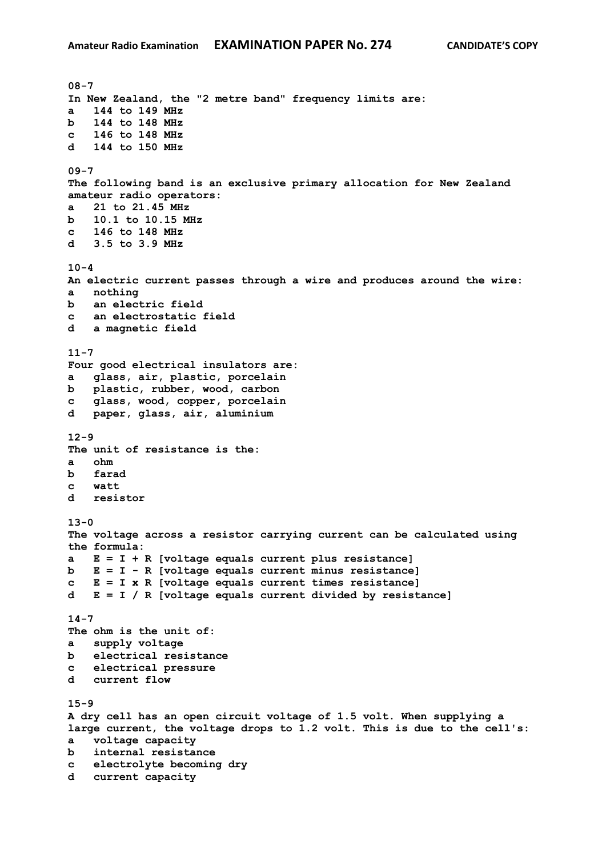**08-7 In New Zealand, the "2 metre band" frequency limits are: a 144 to 149 MHz b 144 to 148 MHz c 146 to 148 MHz d 144 to 150 MHz 09-7 The following band is an exclusive primary allocation for New Zealand amateur radio operators: a 21 to 21.45 MHz b 10.1 to 10.15 MHz c 146 to 148 MHz d 3.5 to 3.9 MHz 10-4 An electric current passes through a wire and produces around the wire: a nothing b an electric field c an electrostatic field d a magnetic field 11-7 Four good electrical insulators are: a glass, air, plastic, porcelain b plastic, rubber, wood, carbon c glass, wood, copper, porcelain d paper, glass, air, aluminium 12-9 The unit of resistance is the: a ohm b farad c watt d resistor 13-0 The voltage across a resistor carrying current can be calculated using the formula: a E = I + R [voltage equals current plus resistance] b E = I - R [voltage equals current minus resistance] c E = I x R [voltage equals current times resistance] d E = I / R [voltage equals current divided by resistance] 14-7 The ohm is the unit of: a supply voltage b electrical resistance c electrical pressure d current flow 15-9 A dry cell has an open circuit voltage of 1.5 volt. When supplying a large current, the voltage drops to 1.2 volt. This is due to the cell's: a voltage capacity b internal resistance c electrolyte becoming dry d current capacity**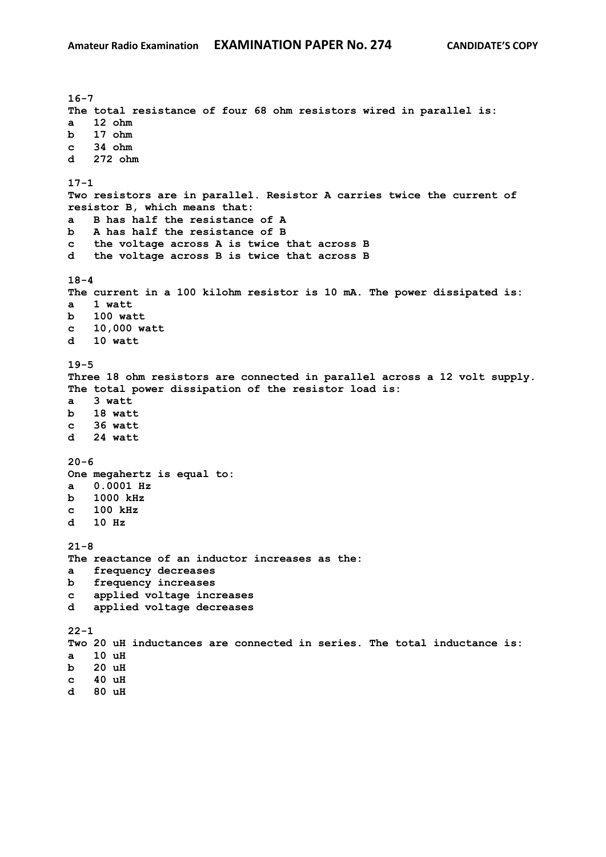**16-7 The total resistance of four 68 ohm resistors wired in parallel is: a 12 ohm b 17 ohm c 34 ohm d 272 ohm 17-1 Two resistors are in parallel. Resistor A carries twice the current of resistor B, which means that: a B has half the resistance of A b A has half the resistance of B c the voltage across A is twice that across B d the voltage across B is twice that across B 18-4 The current in a 100 kilohm resistor is 10 mA. The power dissipated is: a 1 watt b 100 watt c 10,000 watt d 10 watt 19-5 Three 18 ohm resistors are connected in parallel across a 12 volt supply. The total power dissipation of the resistor load is: a 3 watt b 18 watt c 36 watt d 24 watt 20-6 One megahertz is equal to: a 0.0001 Hz b 1000 kHz c 100 kHz d 10 Hz 21-8 The reactance of an inductor increases as the: a frequency decreases b frequency increases c applied voltage increases d applied voltage decreases 22-1 Two 20 uH inductances are connected in series. The total inductance is: a 10 uH b 20 uH c 40 uH d 80 uH**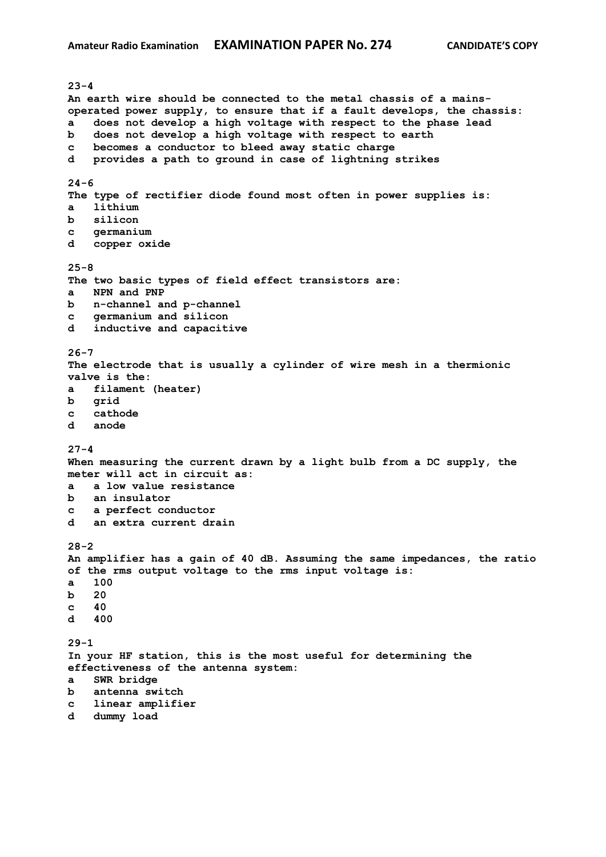**23-4 An earth wire should be connected to the metal chassis of a mainsoperated power supply, to ensure that if a fault develops, the chassis: a does not develop a high voltage with respect to the phase lead b does not develop a high voltage with respect to earth c becomes a conductor to bleed away static charge d provides a path to ground in case of lightning strikes 24-6 The type of rectifier diode found most often in power supplies is: a lithium b silicon c germanium d copper oxide 25-8 The two basic types of field effect transistors are: a NPN and PNP b n-channel and p-channel c germanium and silicon d inductive and capacitive 26-7 The electrode that is usually a cylinder of wire mesh in a thermionic valve is the: a filament (heater) b grid c cathode d anode 27-4 When measuring the current drawn by a light bulb from a DC supply, the meter will act in circuit as: a a low value resistance b an insulator c a perfect conductor d an extra current drain 28-2 An amplifier has a gain of 40 dB. Assuming the same impedances, the ratio of the rms output voltage to the rms input voltage is: a 100 b 20 c 40 d 400 29-1 In your HF station, this is the most useful for determining the effectiveness of the antenna system: a SWR bridge b antenna switch c linear amplifier d dummy load**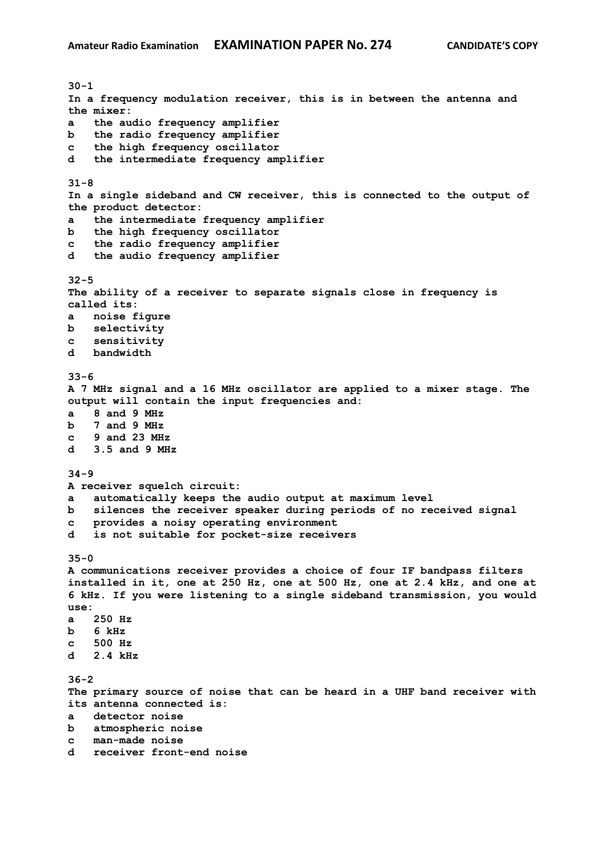**30-1 In a frequency modulation receiver, this is in between the antenna and the mixer: a the audio frequency amplifier b the radio frequency amplifier c the high frequency oscillator d the intermediate frequency amplifier 31-8 In a single sideband and CW receiver, this is connected to the output of the product detector: a the intermediate frequency amplifier b the high frequency oscillator c the radio frequency amplifier d the audio frequency amplifier 32-5 The ability of a receiver to separate signals close in frequency is called its: a noise figure b selectivity c sensitivity d bandwidth 33-6 A 7 MHz signal and a 16 MHz oscillator are applied to a mixer stage. The output will contain the input frequencies and: a 8 and 9 MHz b 7 and 9 MHz c 9 and 23 MHz d 3.5 and 9 MHz 34-9 A receiver squelch circuit: a automatically keeps the audio output at maximum level b silences the receiver speaker during periods of no received signal c provides a noisy operating environment d is not suitable for pocket-size receivers 35-0 A communications receiver provides a choice of four IF bandpass filters installed in it, one at 250 Hz, one at 500 Hz, one at 2.4 kHz, and one at 6 kHz. If you were listening to a single sideband transmission, you would use: a 250 Hz b 6 kHz c 500 Hz d 2.4 kHz 36-2 The primary source of noise that can be heard in a UHF band receiver with its antenna connected is: a detector noise b atmospheric noise c man-made noise d receiver front-end noise**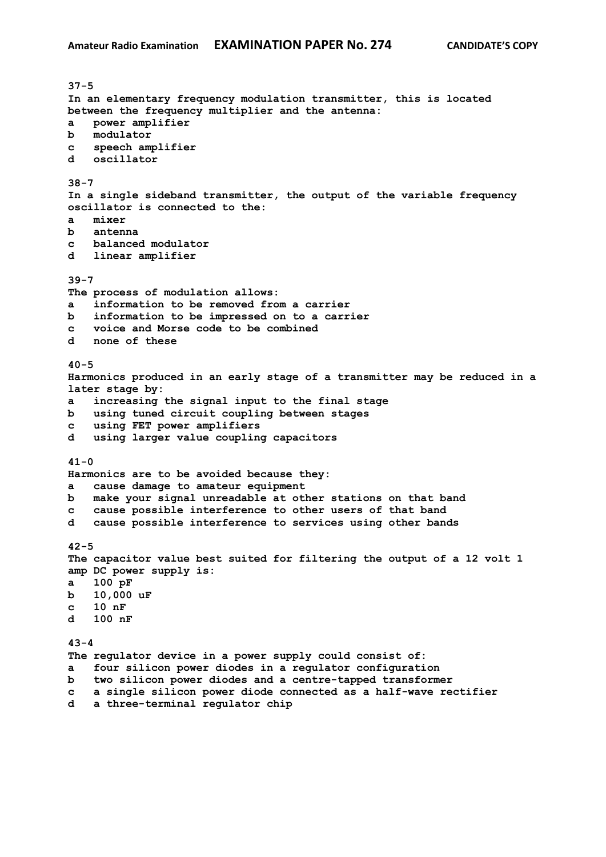**37-5 In an elementary frequency modulation transmitter, this is located between the frequency multiplier and the antenna: a power amplifier b modulator c speech amplifier d oscillator 38-7 In a single sideband transmitter, the output of the variable frequency oscillator is connected to the: a mixer b antenna c balanced modulator d linear amplifier 39-7 The process of modulation allows: a information to be removed from a carrier b information to be impressed on to a carrier c voice and Morse code to be combined d none of these 40-5 Harmonics produced in an early stage of a transmitter may be reduced in a later stage by: a increasing the signal input to the final stage b using tuned circuit coupling between stages c using FET power amplifiers d using larger value coupling capacitors 41-0 Harmonics are to be avoided because they: a cause damage to amateur equipment b make your signal unreadable at other stations on that band c cause possible interference to other users of that band d cause possible interference to services using other bands 42-5 The capacitor value best suited for filtering the output of a 12 volt 1 amp DC power supply is: a 100 pF b 10,000 uF c 10 nF d 100 nF 43-4 The regulator device in a power supply could consist of: a four silicon power diodes in a regulator configuration b two silicon power diodes and a centre-tapped transformer c a single silicon power diode connected as a half-wave rectifier d a three-terminal regulator chip**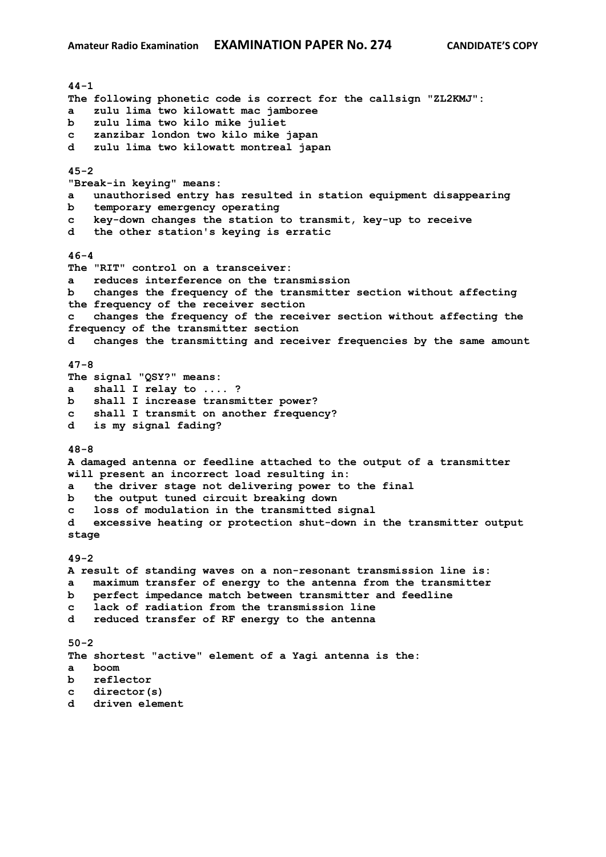**44-1 The following phonetic code is correct for the callsign "ZL2KMJ": a zulu lima two kilowatt mac jamboree b zulu lima two kilo mike juliet c zanzibar london two kilo mike japan d zulu lima two kilowatt montreal japan 45-2 "Break-in keying" means: a unauthorised entry has resulted in station equipment disappearing b temporary emergency operating c key-down changes the station to transmit, key-up to receive d the other station's keying is erratic 46-4 The "RIT" control on a transceiver: a reduces interference on the transmission b changes the frequency of the transmitter section without affecting the frequency of the receiver section c changes the frequency of the receiver section without affecting the frequency of the transmitter section d changes the transmitting and receiver frequencies by the same amount 47-8 The signal "QSY?" means: a shall I relay to .... ? b shall I increase transmitter power? c shall I transmit on another frequency? d is my signal fading? 48-8 A damaged antenna or feedline attached to the output of a transmitter will present an incorrect load resulting in: a the driver stage not delivering power to the final b the output tuned circuit breaking down c loss of modulation in the transmitted signal d excessive heating or protection shut-down in the transmitter output stage 49-2 A result of standing waves on a non-resonant transmission line is: a maximum transfer of energy to the antenna from the transmitter b perfect impedance match between transmitter and feedline c lack of radiation from the transmission line d reduced transfer of RF energy to the antenna 50-2 The shortest "active" element of a Yagi antenna is the: a boom b reflector c director(s) d driven element**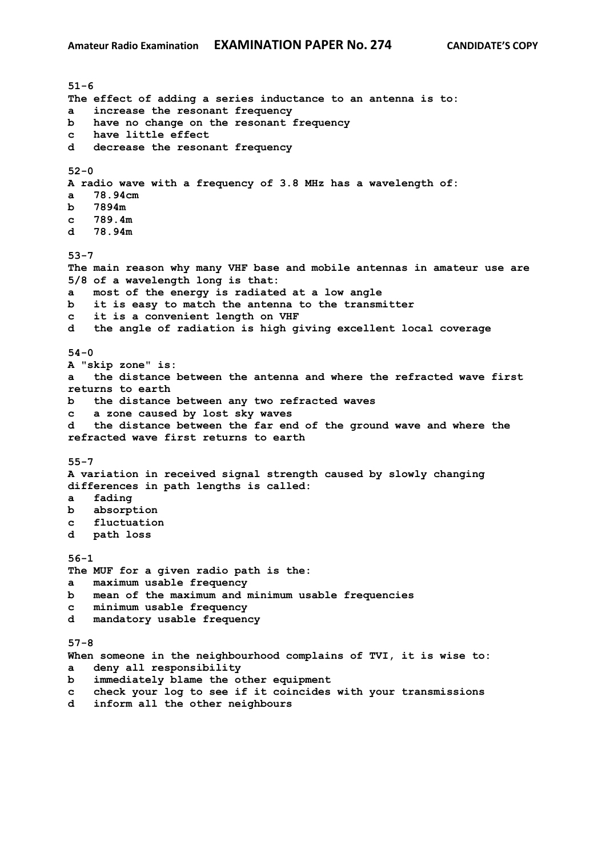**51-6 The effect of adding a series inductance to an antenna is to: a increase the resonant frequency b have no change on the resonant frequency c have little effect d decrease the resonant frequency 52-0 A radio wave with a frequency of 3.8 MHz has a wavelength of: a 78.94cm b 7894m c 789.4m d 78.94m 53-7 The main reason why many VHF base and mobile antennas in amateur use are 5/8 of a wavelength long is that: a most of the energy is radiated at a low angle b it is easy to match the antenna to the transmitter c it is a convenient length on VHF d the angle of radiation is high giving excellent local coverage 54-0 A "skip zone" is: a the distance between the antenna and where the refracted wave first returns to earth b the distance between any two refracted waves c a zone caused by lost sky waves d the distance between the far end of the ground wave and where the refracted wave first returns to earth 55-7 A variation in received signal strength caused by slowly changing differences in path lengths is called: a fading b absorption c fluctuation d path loss 56-1 The MUF for a given radio path is the: a maximum usable frequency b mean of the maximum and minimum usable frequencies c minimum usable frequency d mandatory usable frequency 57-8 When someone in the neighbourhood complains of TVI, it is wise to: a deny all responsibility b immediately blame the other equipment c check your log to see if it coincides with your transmissions d inform all the other neighbours**